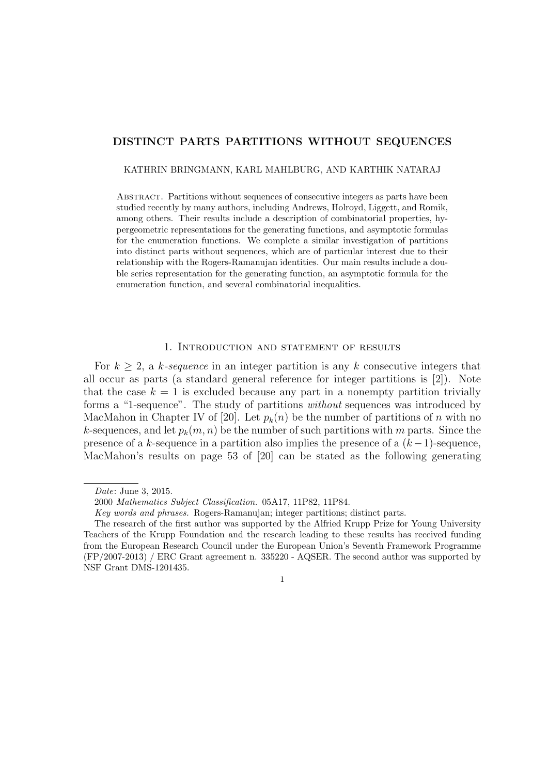### **DISTINCT PARTS PARTITIONS WITHOUT SEQUENCES**

KATHRIN BRINGMANN, KARL MAHLBURG, AND KARTHIK NATARAJ

Abstract. Partitions without sequences of consecutive integers as parts have been studied recently by many authors, including Andrews, Holroyd, Liggett, and Romik, among others. Their results include a description of combinatorial properties, hypergeometric representations for the generating functions, and asymptotic formulas for the enumeration functions. We complete a similar investigation of partitions into distinct parts without sequences, which are of particular interest due to their relationship with the Rogers-Ramanujan identities. Our main results include a double series representation for the generating function, an asymptotic formula for the enumeration function, and several combinatorial inequalities.

# 1. Introduction and statement of results

For  $k \geq 2$ , a *k*-sequence in an integer partition is any *k* consecutive integers that all occur as parts (a standard general reference for integer partitions is [2]). Note that the case  $k = 1$  is excluded because any part in a nonempty partition trivially forms a "1-sequence". The study of partitions *without* sequences was introduced by MacMahon in Chapter IV of [20]. Let  $p_k(n)$  be the number of partitions of *n* with no *k*-sequences, and let  $p_k(m, n)$  be the number of such partitions with *m* parts. Since the presence of a *k*-sequence in a partition also implies the presence of a (*k−*1)-sequence, MacMahon's results on page 53 of [20] can be stated as the following generating

*Date*: June 3, 2015.

<sup>2000</sup> *Mathematics Subject Classification.* 05A17, 11P82, 11P84.

*Key words and phrases.* Rogers-Ramanujan; integer partitions; distinct parts.

The research of the first author was supported by the Alfried Krupp Prize for Young University Teachers of the Krupp Foundation and the research leading to these results has received funding from the European Research Council under the European Union's Seventh Framework Programme (FP/2007-2013) / ERC Grant agreement n. 335220 - AQSER. The second author was supported by NSF Grant DMS-1201435.

<sup>1</sup>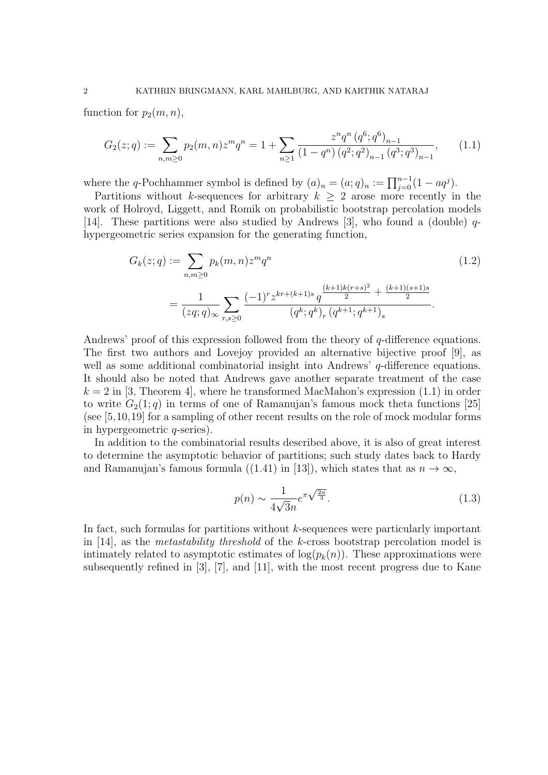function for  $p_2(m, n)$ ,

$$
G_2(z;q) := \sum_{n,m \ge 0} p_2(m,n) z^m q^n = 1 + \sum_{n \ge 1} \frac{z^n q^n (q^6; q^6)_{n-1}}{(1-q^n) (q^2; q^2)_{n-1} (q^3; q^3)_{n-1}},\tag{1.1}
$$

where the *q*-Pochhammer symbol is defined by  $(a)_n = (a;q)_n := \prod_{j=0}^{n-1} (1 - aq^j)$ .

Partitions without *k*-sequences for arbitrary  $k \geq 2$  arose more recently in the work of Holroyd, Liggett, and Romik on probabilistic bootstrap percolation models [14]. These partitions were also studied by Andrews [3], who found a (double) *q*hypergeometric series expansion for the generating function,

$$
G_k(z;q) := \sum_{n,m\geq 0} p_k(m,n) z^m q^n
$$
\n
$$
= \frac{1}{(zq;q)_{\infty}} \sum_{r,s\geq 0} \frac{(-1)^r z^{kr + (k+1)s} q^{\frac{(k+1)k(r+s)^2}{2} + \frac{(k+1)(s+1)s}{2}}}{(q^k;q^k)_r (q^{k+1};q^{k+1})_s}.
$$
\n(1.2)

Andrews' proof of this expression followed from the theory of *q*-difference equations. The first two authors and Lovejoy provided an alternative bijective proof [9], as well as some additional combinatorial insight into Andrews' *q*-difference equations. It should also be noted that Andrews gave another separate treatment of the case  $k = 2$  in [3, Theorem 4], where he transformed MacMahon's expression  $(1.1)$  in order to write  $G_2(1; q)$  in terms of one of Ramanujan's famous mock theta functions [25] (see [5,10,19] for a sampling of other recent results on the role of mock modular forms in hypergeometric *q*-series).

In addition to the combinatorial results described above, it is also of great interest to determine the asymptotic behavior of partitions; such study dates back to Hardy and Ramanujan's famous formula ((1.41) in [13]), which states that as  $n \to \infty$ ,

$$
p(n) \sim \frac{1}{4\sqrt{3}n} e^{\pi\sqrt{\frac{2n}{3}}}.
$$
\n(1.3)

In fact, such formulas for partitions without *k*-sequences were particularly important in [14], as the *metastability threshold* of the *k*-cross bootstrap percolation model is intimately related to asymptotic estimates of  $\log(p_k(n))$ . These approximations were subsequently refined in [3], [7], and [11], with the most recent progress due to Kane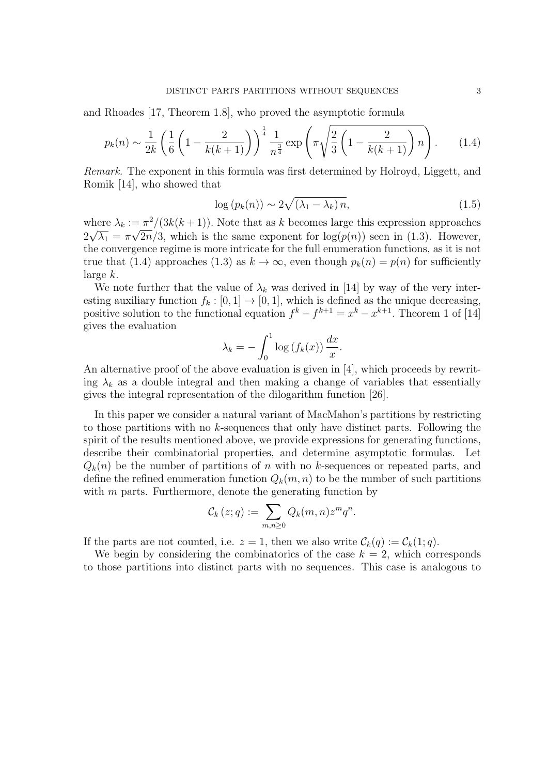and Rhoades [17, Theorem 1.8], who proved the asymptotic formula

$$
p_k(n) \sim \frac{1}{2k} \left( \frac{1}{6} \left( 1 - \frac{2}{k(k+1)} \right) \right)^{\frac{1}{4}} \frac{1}{n^{\frac{3}{4}}} \exp \left( \pi \sqrt{\frac{2}{3} \left( 1 - \frac{2}{k(k+1)} \right) n} \right). \tag{1.4}
$$

*Remark.* The exponent in this formula was first determined by Holroyd, Liggett, and Romik [14], who showed that

$$
\log\left(p_k(n)\right) \sim 2\sqrt{\left(\lambda_1 - \lambda_k\right)n},\tag{1.5}
$$

where  $\lambda_k := \pi^2/(3k(k+1))$ . Note that as *k* becomes large this expression approaches  $2\sqrt{\lambda_1} = \pi\sqrt{2n/3}$ , which is the same exponent for  $\log(p(n))$  seen in (1.3). However, the convergence regime is more intricate for the full enumeration functions, as it is not true that (1.4) approaches (1.3) as  $k \to \infty$ , even though  $p_k(n) = p(n)$  for sufficiently large *k*.

We note further that the value of  $\lambda_k$  was derived in [14] by way of the very interesting auxiliary function  $f_k : [0, 1] \rightarrow [0, 1]$ , which is defined as the unique decreasing, positive solution to the functional equation  $f^k - f^{k+1} = x^k - x^{k+1}$ . Theorem 1 of [14] gives the evaluation

$$
\lambda_k = -\int_0^1 \log(f_k(x)) \, \frac{dx}{x}.
$$

An alternative proof of the above evaluation is given in [4], which proceeds by rewriting  $\lambda_k$  as a double integral and then making a change of variables that essentially gives the integral representation of the dilogarithm function [26].

In this paper we consider a natural variant of MacMahon's partitions by restricting to those partitions with no *k*-sequences that only have distinct parts. Following the spirit of the results mentioned above, we provide expressions for generating functions, describe their combinatorial properties, and determine asymptotic formulas. Let  $Q_k(n)$  be the number of partitions of *n* with no *k*-sequences or repeated parts, and define the refined enumeration function  $Q_k(m, n)$  to be the number of such partitions with *m* parts. Furthermore, denote the generating function by

$$
\mathcal{C}_k(z;q) := \sum_{m,n\geq 0} Q_k(m,n) z^m q^n.
$$

If the parts are not counted, i.e.  $z = 1$ , then we also write  $\mathcal{C}_k(q) := \mathcal{C}_k(1; q)$ .

We begin by considering the combinatorics of the case  $k = 2$ , which corresponds to those partitions into distinct parts with no sequences. This case is analogous to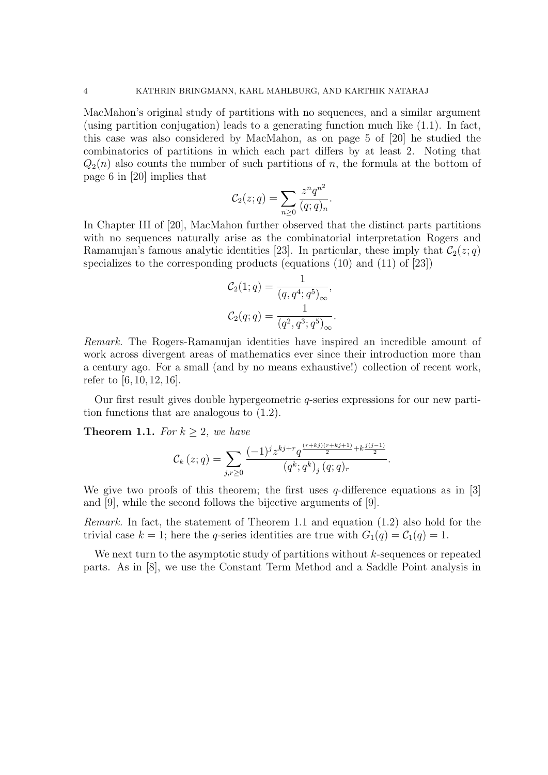MacMahon's original study of partitions with no sequences, and a similar argument (using partition conjugation) leads to a generating function much like (1.1). In fact, this case was also considered by MacMahon, as on page 5 of [20] he studied the combinatorics of partitions in which each part differs by at least 2. Noting that  $Q_2(n)$  also counts the number of such partitions of *n*, the formula at the bottom of page 6 in [20] implies that

$$
C_2(z;q) = \sum_{n\geq 0} \frac{z^n q^{n^2}}{(q;q)_n}.
$$

In Chapter III of [20], MacMahon further observed that the distinct parts partitions with no sequences naturally arise as the combinatorial interpretation Rogers and Ramanujan's famous analytic identities [23]. In particular, these imply that  $\mathcal{C}_2(z; q)$ specializes to the corresponding products (equations (10) and (11) of [23])

$$
C_2(1;q) = \frac{1}{(q, q^4; q^5)_{\infty}},
$$
  

$$
C_2(q;q) = \frac{1}{(q^2, q^3; q^5)_{\infty}}.
$$

*Remark.* The Rogers-Ramanujan identities have inspired an incredible amount of work across divergent areas of mathematics ever since their introduction more than a century ago. For a small (and by no means exhaustive!) collection of recent work, refer to [6, 10, 12, 16].

Our first result gives double hypergeometric *q*-series expressions for our new partition functions that are analogous to (1.2).

**Theorem 1.1.** *For*  $k \geq 2$ *, we have* 

$$
\mathcal{C}_{k}(z;q) = \sum_{j,r \geq 0} \frac{(-1)^{j} z^{kj+r} q^{\frac{(r+kj)(r+kj+1)}{2} + k \frac{j(j-1)}{2}}}{(q^k; q^k)_{j} (q;q)_{r}}.
$$

We give two proofs of this theorem; the first uses *q*-difference equations as in [3] and [9], while the second follows the bijective arguments of [9].

*Remark.* In fact, the statement of Theorem 1.1 and equation (1.2) also hold for the trivial case  $k = 1$ ; here the *q*-series identities are true with  $G_1(q) = C_1(q) = 1$ .

We next turn to the asymptotic study of partitions without *k*-sequences or repeated parts. As in [8], we use the Constant Term Method and a Saddle Point analysis in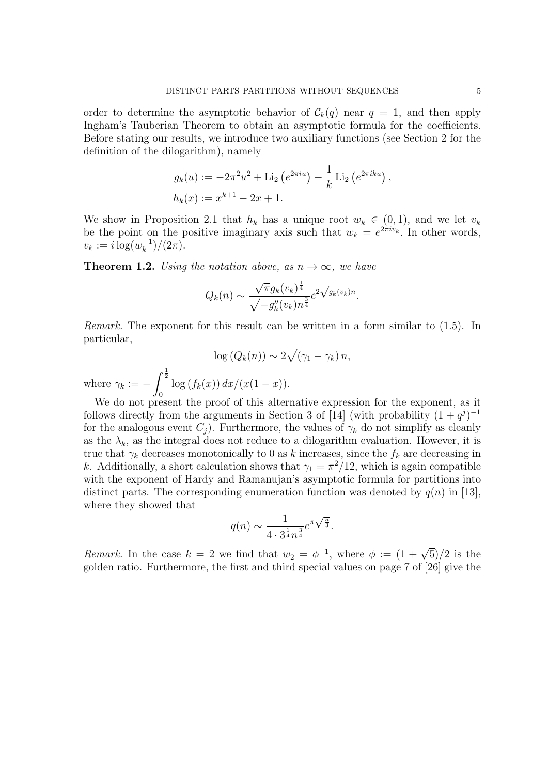order to determine the asymptotic behavior of  $\mathcal{C}_k(q)$  near  $q = 1$ , and then apply Ingham's Tauberian Theorem to obtain an asymptotic formula for the coefficients. Before stating our results, we introduce two auxiliary functions (see Section 2 for the definition of the dilogarithm), namely

$$
g_k(u) := -2\pi^2 u^2 + \text{Li}_2\left(e^{2\pi i u}\right) - \frac{1}{k} \text{Li}_2\left(e^{2\pi i ku}\right),
$$
  

$$
h_k(x) := x^{k+1} - 2x + 1.
$$

We show in Proposition 2.1 that  $h_k$  has a unique root  $w_k \in (0,1)$ , and we let  $v_k$ be the point on the positive imaginary axis such that  $w_k = e^{2\pi i v_k}$ . In other words,  $v_k := i \log(w_k^{-1})/(2\pi).$ 

**Theorem 1.2.** *Using the notation above, as*  $n \to \infty$ *, we have* 

$$
Q_k(n) \sim \frac{\sqrt{\pi}g_k(v_k)^{\frac{1}{4}}}{\sqrt{-g_k''(v_k)n^{\frac{3}{4}}}} e^{2\sqrt{g_k(v_k)n}}.
$$

*Remark.* The exponent for this result can be written in a form similar to (1.5). In particular,

$$
\log (Q_k(n)) \sim 2\sqrt{(\gamma_1 - \gamma_k) n},
$$

where  $\gamma_k := \int_0^1$ 0  $\log(f_k(x)) dx/(x(1-x)).$ 

We do not present the proof of this alternative expression for the exponent, as it follows directly from the arguments in Section 3 of [14] (with probability  $(1 + q<sup>j</sup>)<sup>-1</sup>$ for the analogous event  $C_i$ ). Furthermore, the values of  $\gamma_k$  do not simplify as cleanly as the  $\lambda_k$ , as the integral does not reduce to a dilogarithm evaluation. However, it is true that  $\gamma_k$  decreases monotonically to 0 as *k* increases, since the  $f_k$  are decreasing in *k*. Additionally, a short calculation shows that  $\gamma_1 = \pi^2/12$ , which is again compatible with the exponent of Hardy and Ramanujan's asymptotic formula for partitions into distinct parts. The corresponding enumeration function was denoted by  $q(n)$  in [13], where they showed that

$$
q(n) \sim \frac{1}{4 \cdot 3^{\frac{1}{4}} n^{\frac{3}{4}}} e^{\pi \sqrt{\frac{n}{3}}}.
$$

*Remark.* In the case  $k = 2$  we find that  $w_2 = \phi^{-1}$ , where  $\phi := (1 + \sqrt{5})/2$  is the golden ratio. Furthermore, the first and third special values on page 7 of [26] give the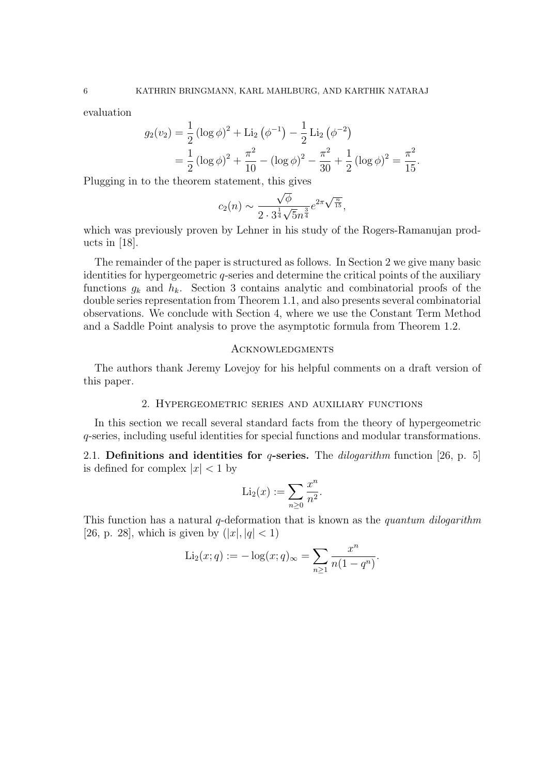1

evaluation

$$
g_2(v_2) = \frac{1}{2} (\log \phi)^2 + \text{Li}_2 (\phi^{-1}) - \frac{1}{2} \text{Li}_2 (\phi^{-2})
$$
  
=  $\frac{1}{2} (\log \phi)^2 + \frac{\pi^2}{10} - (\log \phi)^2 - \frac{\pi^2}{30} + \frac{1}{2} (\log \phi)^2 = \frac{\pi^2}{15}.$ 

Plugging in to the theorem statement, this gives

$$
c_2(n) \sim \frac{\sqrt{\phi}}{2 \cdot 3^{\frac{1}{4}} \sqrt{5} n^{\frac{3}{4}}} e^{2\pi \sqrt{\frac{n}{15}}},
$$

which was previously proven by Lehner in his study of the Rogers-Ramanujan products in [18].

The remainder of the paper is structured as follows. In Section 2 we give many basic identities for hypergeometric *q*-series and determine the critical points of the auxiliary functions  $g_k$  and  $h_k$ . Section 3 contains analytic and combinatorial proofs of the double series representation from Theorem 1.1, and also presents several combinatorial observations. We conclude with Section 4, where we use the Constant Term Method and a Saddle Point analysis to prove the asymptotic formula from Theorem 1.2.

### **ACKNOWLEDGMENTS**

The authors thank Jeremy Lovejoy for his helpful comments on a draft version of this paper.

### 2. Hypergeometric series and auxiliary functions

In this section we recall several standard facts from the theory of hypergeometric *q*-series, including useful identities for special functions and modular transformations.

2.1. **Definitions and identities for** *q***-series.** The *dilogarithm* function [26, p. 5] is defined for complex  $|x| < 1$  by

$$
\mathrm{Li}_2(x) := \sum_{n \geq 0} \frac{x^n}{n^2}.
$$

This function has a natural *q*-deformation that is known as the *quantum dilogarithm* [26, p. 28], which is given by  $(|x|, |q| < 1)$ 

$$
\text{Li}_2(x; q) := -\log(x; q)_{\infty} = \sum_{n \ge 1} \frac{x^n}{n(1 - q^n)}.
$$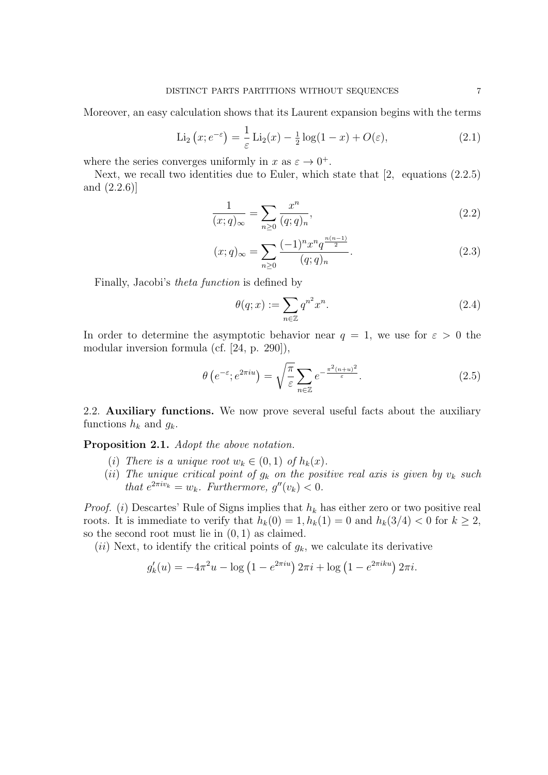Moreover, an easy calculation shows that its Laurent expansion begins with the terms

$$
\text{Li}_2\left(x; e^{-\varepsilon}\right) = \frac{1}{\varepsilon} \text{Li}_2(x) - \frac{1}{2} \log(1-x) + O(\varepsilon),\tag{2.1}
$$

where the series converges uniformly in  $x$  as  $\varepsilon \to 0^+$ .

Next, we recall two identities due to Euler, which state that [2, equations (2.2.5) and (2.2.6)]

$$
\frac{1}{(x;q)_{\infty}} = \sum_{n\geq 0} \frac{x^n}{(q;q)_n},\tag{2.2}
$$

$$
(x;q)_{\infty} = \sum_{n\geq 0} \frac{(-1)^n x^n q^{\frac{n(n-1)}{2}}}{(q;q)_n}.
$$
\n(2.3)

Finally, Jacobi's *theta function* is defined by

$$
\theta(q; x) := \sum_{n \in \mathbb{Z}} q^{n^2} x^n.
$$
\n(2.4)

In order to determine the asymptotic behavior near  $q = 1$ , we use for  $\varepsilon > 0$  the modular inversion formula (cf. [24, p. 290]),

$$
\theta\left(e^{-\varepsilon}; e^{2\pi i u}\right) = \sqrt{\frac{\pi}{\varepsilon}} \sum_{n \in \mathbb{Z}} e^{-\frac{\pi^2 (n+u)^2}{\varepsilon}}.
$$
\n(2.5)

2.2. **Auxiliary functions.** We now prove several useful facts about the auxiliary functions  $h_k$  and  $g_k$ .

**Proposition 2.1.** *Adopt the above notation.*

- (*i*) *There is a unique root*  $w_k \in (0,1)$  *of*  $h_k(x)$ .
- (*ii*) The unique critical point of  $g_k$  on the positive real axis is given by  $v_k$  such *that*  $e^{2\pi i v_k} = w_k$ *. Furthermore,*  $g''(v_k) < 0$ *.*

*Proof.* (*i*) Descartes' Rule of Signs implies that *h<sup>k</sup>* has either zero or two positive real roots. It is immediate to verify that  $h_k(0) = 1, h_k(1) = 0$  and  $h_k(3/4) < 0$  for  $k \geq 2$ , so the second root must lie in (0*,* 1) as claimed.

(*ii*) Next, to identify the critical points of  $g_k$ , we calculate its derivative

$$
g'_k(u) = -4\pi^2 u - \log(1 - e^{2\pi i u}) 2\pi i + \log(1 - e^{2\pi i ku}) 2\pi i.
$$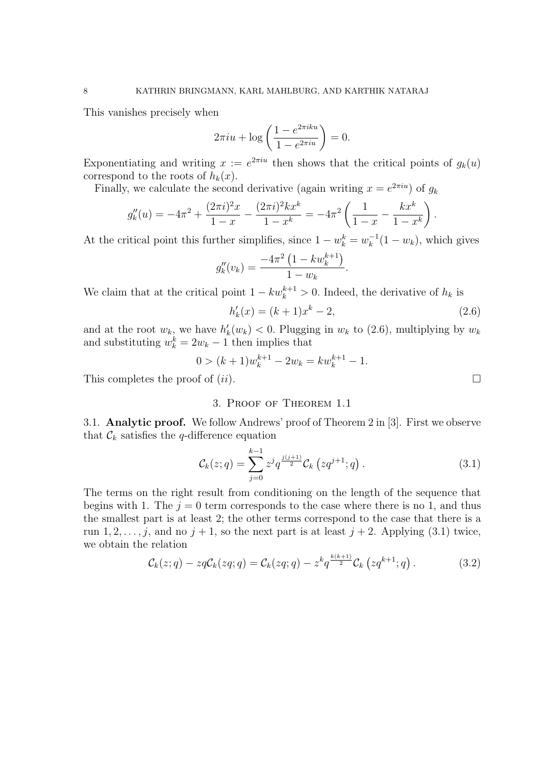This vanishes precisely when

$$
2\pi i u + \log\left(\frac{1 - e^{2\pi i ku}}{1 - e^{2\pi i u}}\right) = 0.
$$

Exponentiating and writing  $x := e^{2\pi i u}$  then shows that the critical points of  $g_k(u)$ correspond to the roots of  $h_k(x)$ .

Finally, we calculate the second derivative (again writing  $x = e^{2\pi i u}$ ) of  $g_k$ 

$$
g_k''(u) = -4\pi^2 + \frac{(2\pi i)^2 x}{1-x} - \frac{(2\pi i)^2 k x^k}{1-x^k} = -4\pi^2 \left(\frac{1}{1-x} - \frac{k x^k}{1-x^k}\right).
$$

At the critical point this further simplifies, since  $1 - w_k^k = w_k^{-1}(1 - w_k)$ , which gives

$$
g''_k(v_k) = \frac{-4\pi^2\left(1 - kw_k^{k+1}\right)}{1 - w_k}.
$$

We claim that at the critical point  $1 - kw_k^{k+1} > 0$ . Indeed, the derivative of  $h_k$  is

$$
h'_k(x) = (k+1)x^k - 2,
$$
\n(2.6)

and at the root  $w_k$ , we have  $h'_k(w_k) < 0$ . Plugging in  $w_k$  to (2.6), multiplying by  $w_k$ and substituting  $w_k^k = 2w_k - 1$  then implies that

$$
0 > (k+1)w_k^{k+1} - 2w_k = kw_k^{k+1} - 1.
$$

This completes the proof of  $(ii)$ .

## 3. Proof of Theorem 1.1

3.1. **Analytic proof.** We follow Andrews' proof of Theorem 2 in [3]. First we observe that  $\mathcal{C}_k$  satisfies the *q*-difference equation

$$
\mathcal{C}_k(z;q) = \sum_{j=0}^{k-1} z^j q^{\frac{j(j+1)}{2}} \mathcal{C}_k(zq^{j+1};q) \,. \tag{3.1}
$$

The terms on the right result from conditioning on the length of the sequence that begins with 1. The  $j = 0$  term corresponds to the case where there is no 1, and thus the smallest part is at least 2; the other terms correspond to the case that there is a run 1, 2, ..., *j*, and no *j* + 1, so the next part is at least *j* + 2. Applying (3.1) twice, we obtain the relation

$$
\mathcal{C}_k(z;q) - zq\mathcal{C}_k(zq;q) = \mathcal{C}_k(zq;q) - z^k q^{\frac{k(k+1)}{2}} \mathcal{C}_k\left(zq^{k+1};q\right). \tag{3.2}
$$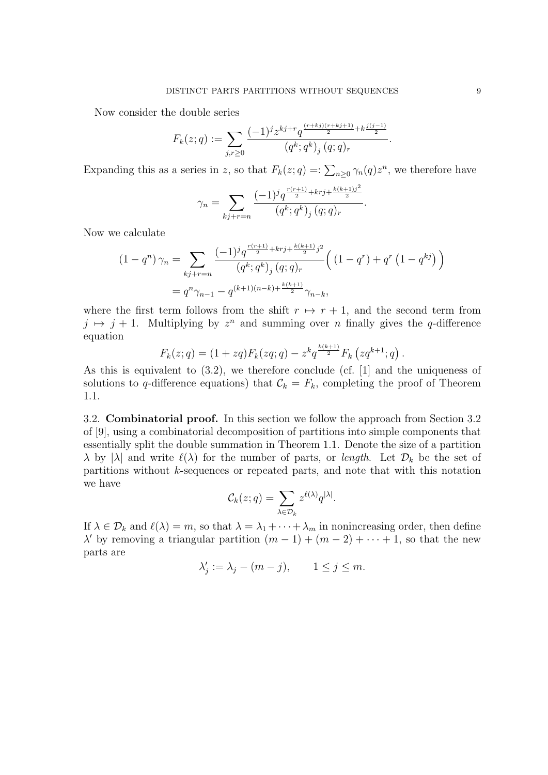Now consider the double series

$$
F_k(z;q) := \sum_{j,r \geq 0} \frac{(-1)^j z^{kj+r} q^{\frac{(r+kj)(r+kj+1)}{2} + k \frac{j(j-1)}{2}}}{(q^k; q^k)_j (q;q)_r}.
$$

Expanding this as a series in *z*, so that  $F_k(z; q) =: \sum_{n \geq 0} \gamma_n(q) z^n$ , we therefore have

$$
\gamma_n = \sum_{kj+r=n} \frac{(-1)^j q^{\frac{r(r+1)}{2}+krj+\frac{k(k+1)j^2}{2}}}{(q^k; q^k)_j (q; q)_r}
$$

*.*

Now we calculate

$$
(1 - q^n) \gamma_n = \sum_{kj + r = n} \frac{(-1)^j q^{\frac{r(r+1)}{2} + krj + \frac{k(k+1)}{2}j^2}}{(q^k; q^k)_j (q; q)_r} \left( (1 - q^r) + q^r (1 - q^{kj}) \right)
$$
  
=  $q^n \gamma_{n-1} - q^{(k+1)(n-k) + \frac{k(k+1)}{2}} \gamma_{n-k},$ 

where the first term follows from the shift  $r \mapsto r+1$ , and the second term from  $j \mapsto j + 1$ . Multiplying by  $z^n$  and summing over *n* finally gives the *q*-difference equation

$$
F_k(z;q) = (1 + zq)F_k(zq;q) - z^k q^{\frac{k(k+1)}{2}} F_k(zq^{k+1};q).
$$

As this is equivalent to (3.2), we therefore conclude (cf. [1] and the uniqueness of solutions to *q*-difference equations) that  $\mathcal{C}_k = F_k$ , completing the proof of Theorem 1.1.

3.2. **Combinatorial proof.** In this section we follow the approach from Section 3.2 of [9], using a combinatorial decomposition of partitions into simple components that essentially split the double summation in Theorem 1.1. Denote the size of a partition *λ* by |*λ*| and write  $\ell(\lambda)$  for the number of parts, or *length*. Let  $\mathcal{D}_k$  be the set of partitions without *k*-sequences or repeated parts, and note that with this notation we have

$$
\mathcal{C}_k(z;q) = \sum_{\lambda \in \mathcal{D}_k} z^{\ell(\lambda)} q^{|\lambda|}.
$$

If  $\lambda \in \mathcal{D}_k$  and  $\ell(\lambda) = m$ , so that  $\lambda = \lambda_1 + \cdots + \lambda_m$  in nonincreasing order, then define  $\lambda'$  by removing a triangular partition  $(m-1) + (m-2) + \cdots + 1$ , so that the new parts are

$$
\lambda'_j := \lambda_j - (m - j), \qquad 1 \le j \le m.
$$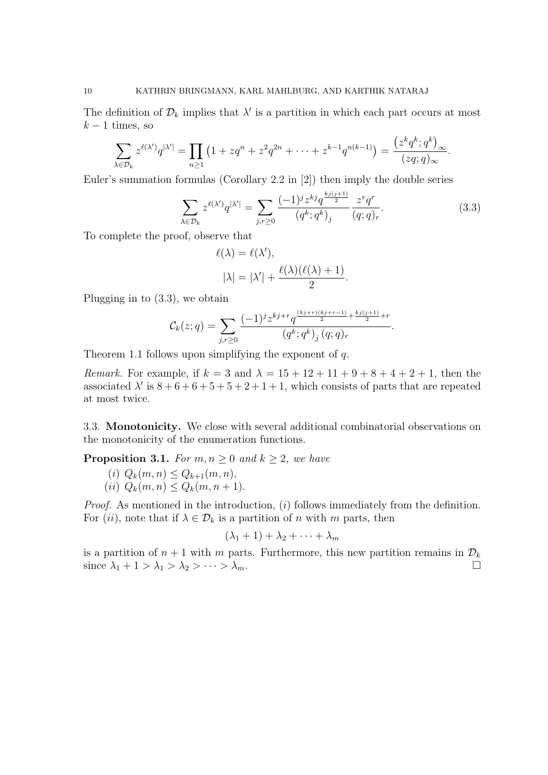The definition of  $\mathcal{D}_k$  implies that  $\lambda'$  is a partition in which each part occurs at most  $k-1$  times, so

$$
\sum_{\lambda \in \mathcal{D}_k} z^{\ell(\lambda')} q^{|\lambda'|} = \prod_{n \ge 1} \left( 1 + zq^n + z^2 q^{2n} + \dots + z^{k-1} q^{n(k-1)} \right) = \frac{\left( z^k q^k; q^k \right)_{\infty}}{(zq; q)_{\infty}}.
$$

Euler's summation formulas (Corollary 2.2 in [2]) then imply the double series

$$
\sum_{\lambda \in \mathcal{D}_k} z^{\ell(\lambda')} q^{|\lambda'|} = \sum_{j,r \ge 0} \frac{(-1)^j z^{kj} q^{\frac{kj(j+1)}{2}}}{(q^k; q^k)_j} \frac{z^r q^r}{(q; q)_r}.
$$
(3.3)

*.*

To complete the proof, observe that

$$
\ell(\lambda) = \ell(\lambda'),
$$
  

$$
|\lambda| = |\lambda'| + \frac{\ell(\lambda)(\ell(\lambda) + 1)}{2}
$$

Plugging in to (3.3), we obtain

$$
\mathcal{C}_k(z;q) = \sum_{j,r \geq 0} \frac{(-1)^j z^{kj+r} q^{\frac{(kj+r)(kj+r-1)}{2} + \frac{k_j(j+1)}{2}+r}}{(q^k;q^k)_j (q;q)_r}.
$$

Theorem 1.1 follows upon simplifying the exponent of *q*.

*Remark.* For example, if  $k = 3$  and  $\lambda = 15 + 12 + 11 + 9 + 8 + 4 + 2 + 1$ , then the associated  $\lambda'$  is  $8 + 6 + 6 + 5 + 5 + 2 + 1 + 1$ , which consists of parts that are repeated at most twice.

3.3. **Monotonicity.** We close with several additional combinatorial observations on the monotonicity of the enumeration functions.

**Proposition 3.1.** *For*  $m, n \geq 0$  *and*  $k \geq 2$ *, we have* 

(i) 
$$
Q_k(m, n) \leq Q_{k+1}(m, n),
$$
  
(ii)  $Q_k(m, n) \leq Q_k(m, n+1).$ 

*Proof.* As mentioned in the introduction, (*i*) follows immediately from the definition. For (*ii*), note that if  $\lambda \in \mathcal{D}_k$  is a partition of *n* with *m* parts, then

$$
(\lambda_1+1)+\lambda_2+\cdots+\lambda_m
$$

is a partition of  $n + 1$  with  $m$  parts. Furthermore, this new partition remains in  $\mathcal{D}_k$ since  $\lambda_1 + 1 > \lambda_1 > \lambda_2 > \cdots > \lambda_m$ .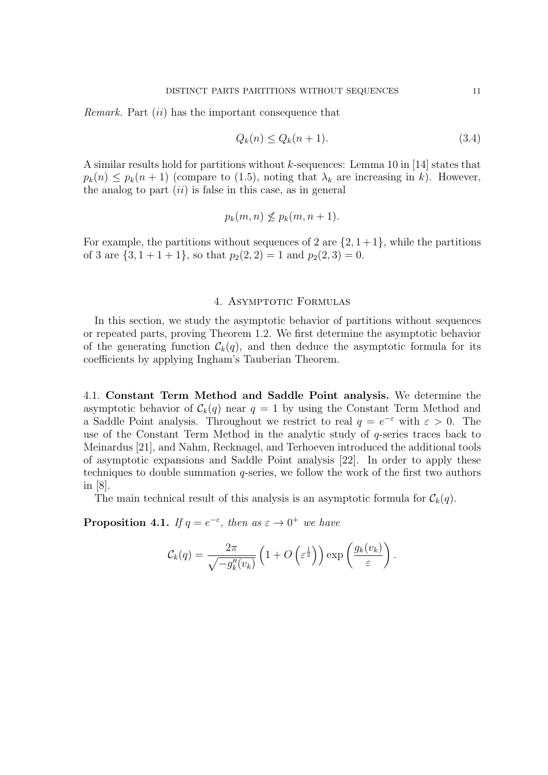*Remark.* Part (*ii*) has the important consequence that

$$
Q_k(n) \le Q_k(n+1). \tag{3.4}
$$

A similar results hold for partitions without *k*-sequences: Lemma 10 in [14] states that  $p_k(n) \leq p_k(n+1)$  (compare to (1.5), noting that  $\lambda_k$  are increasing in *k*). However, the analog to part (*ii*) is false in this case, as in general

$$
p_k(m, n) \nleq p_k(m, n+1).
$$

For example, the partitions without sequences of 2 are  $\{2, 1+1\}$ , while the partitions of 3 are  $\{3, 1 + 1 + 1\}$ , so that  $p_2(2, 2) = 1$  and  $p_2(2, 3) = 0$ .

### 4. ASYMPTOTIC FORMULAS

In this section, we study the asymptotic behavior of partitions without sequences or repeated parts, proving Theorem 1.2. We first determine the asymptotic behavior of the generating function  $\mathcal{C}_k(q)$ , and then deduce the asymptotic formula for its coefficients by applying Ingham's Tauberian Theorem.

4.1. **Constant Term Method and Saddle Point analysis.** We determine the asymptotic behavior of  $\mathcal{C}_k(q)$  near  $q = 1$  by using the Constant Term Method and a Saddle Point analysis. Throughout we restrict to real  $q = e^{-\varepsilon}$  with  $\varepsilon > 0$ . The use of the Constant Term Method in the analytic study of *q*-series traces back to Meinardus [21], and Nahm, Recknagel, and Terhoeven introduced the additional tools of asymptotic expansions and Saddle Point analysis [22]. In order to apply these techniques to double summation *q*-series, we follow the work of the first two authors in [8].

The main technical result of this analysis is an asymptotic formula for  $\mathcal{C}_k(q)$ .

**Proposition 4.1.** *If*  $q = e^{-\varepsilon}$ , *then as*  $\varepsilon \to 0^+$  *we have* 

$$
\mathcal{C}_k(q) = \frac{2\pi}{\sqrt{-g_k''(v_k)}} \left(1 + O\left(\varepsilon^{\frac{1}{2}}\right)\right) \exp\left(\frac{g_k(v_k)}{\varepsilon}\right).
$$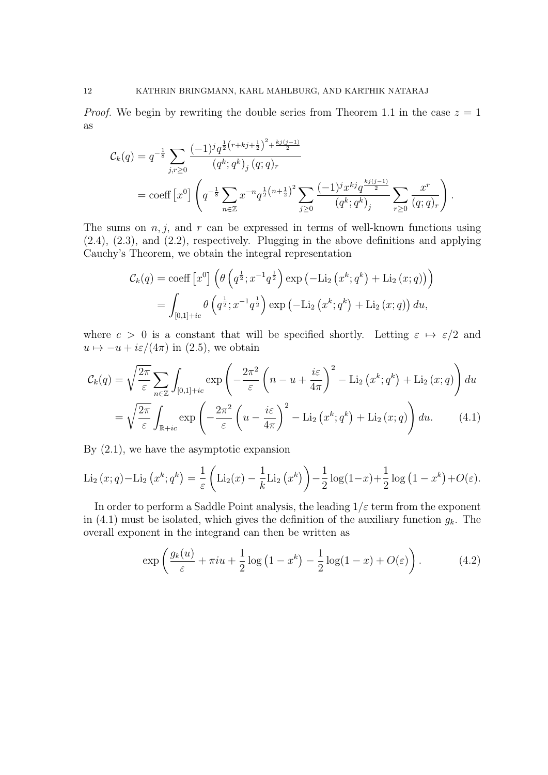*Proof.* We begin by rewriting the double series from Theorem 1.1 in the case  $z = 1$ as

$$
C_k(q) = q^{-\frac{1}{8}} \sum_{j,r \ge 0} \frac{(-1)^j q^{\frac{1}{2}(r+kj+\frac{1}{2})^2 + \frac{kj(j-1)}{2}}}{(q^k; q^k)_j (q; q)_r}
$$
  
= coeff [x<sup>0</sup>]  $\left(q^{-\frac{1}{8}} \sum_{n \in \mathbb{Z}} x^{-n} q^{\frac{1}{2}(n+\frac{1}{2})^2} \sum_{j \ge 0} \frac{(-1)^j x^{kj} q^{\frac{kj(j-1)}{2}}}{(q^k; q^k)_j} \sum_{r \ge 0} \frac{x^r}{(q; q)_r}\right).$ 

The sums on  $n, j$ , and  $r$  can be expressed in terms of well-known functions using (2.4), (2.3), and (2.2), respectively. Plugging in the above definitions and applying Cauchy's Theorem, we obtain the integral representation

$$
\mathcal{C}_{k}(q) = \text{coeff}\left[x^{0}\right] \left(\theta\left(q^{\frac{1}{2}}; x^{-1}q^{\frac{1}{2}}\right) \exp\left(-\text{Li}_{2}\left(x^{k}; q^{k}\right) + \text{Li}_{2}\left(x; q\right)\right)\right)
$$

$$
= \int_{[0,1] + ic} \theta\left(q^{\frac{1}{2}}; x^{-1}q^{\frac{1}{2}}\right) \exp\left(-\text{Li}_{2}\left(x^{k}; q^{k}\right) + \text{Li}_{2}\left(x; q\right)\right) du,
$$

where  $c > 0$  is a constant that will be specified shortly. Letting  $\varepsilon \mapsto \varepsilon/2$  and  $u \mapsto -u + i\varepsilon/(4\pi)$  in (2.5), we obtain

$$
\mathcal{C}_{k}(q) = \sqrt{\frac{2\pi}{\varepsilon}} \sum_{n \in \mathbb{Z}} \int_{[0,1] + ic} \exp\left(-\frac{2\pi^{2}}{\varepsilon} \left(n - u + \frac{i\varepsilon}{4\pi}\right)^{2} - \text{Li}_{2}\left(x^{k}; q^{k}\right) + \text{Li}_{2}\left(x; q\right)\right) du
$$

$$
= \sqrt{\frac{2\pi}{\varepsilon}} \int_{\mathbb{R} + ic} \exp\left(-\frac{2\pi^{2}}{\varepsilon} \left(u - \frac{i\varepsilon}{4\pi}\right)^{2} - \text{Li}_{2}\left(x^{k}; q^{k}\right) + \text{Li}_{2}\left(x; q\right)\right) du. \tag{4.1}
$$

By (2.1), we have the asymptotic expansion

Li<sub>2</sub>(x; q) - Li<sub>2</sub>(x<sup>k</sup>; q<sup>k</sup>) = 
$$
\frac{1}{\varepsilon}
$$
 (Li<sub>2</sub>(x) -  $\frac{1}{k}$ Li<sub>2</sub>(x<sup>k</sup>)) -  $\frac{1}{2}$ log(1-x) +  $\frac{1}{2}$ log(1-x<sup>k</sup>) + O(ε).

In order to perform a Saddle Point analysis, the leading  $1/\varepsilon$  term from the exponent in (4.1) must be isolated, which gives the definition of the auxiliary function  $g_k$ . The overall exponent in the integrand can then be written as

$$
\exp\left(\frac{g_k(u)}{\varepsilon} + \pi i u + \frac{1}{2}\log\left(1 - x^k\right) - \frac{1}{2}\log(1 - x) + O(\varepsilon)\right). \tag{4.2}
$$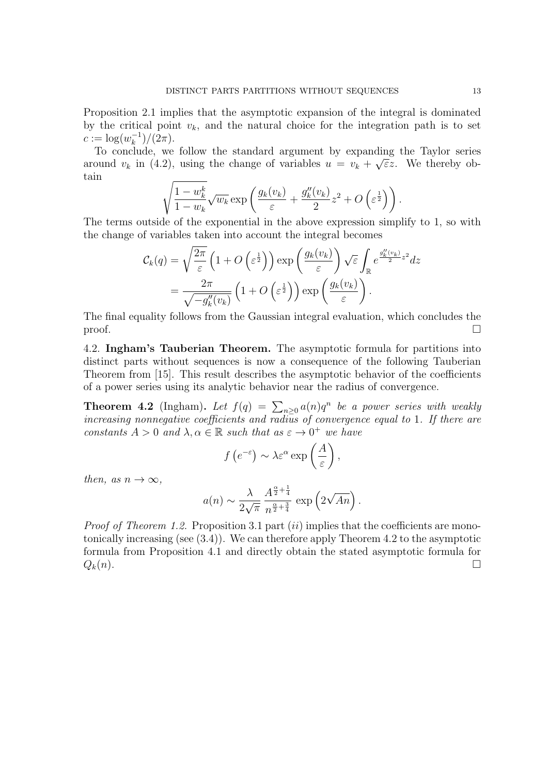Proposition 2.1 implies that the asymptotic expansion of the integral is dominated by the critical point  $v_k$ , and the natural choice for the integration path is to set  $c := \log(w_k^{-1})/(2\pi).$ 

To conclude, we follow the standard argument by expanding the Taylor series *√* around  $v_k$  in (4.2), using the change of variables  $u = v_k + \sqrt{\varepsilon}z$ . We thereby obtain

$$
\sqrt{\frac{1-w_k^k}{1-w_k}}\sqrt{w_k}\exp\left(\frac{g_k(v_k)}{\varepsilon}+\frac{g_k''(v_k)}{2}z^2+O\left(\varepsilon^{\frac{1}{2}}\right)\right).
$$

The terms outside of the exponential in the above expression simplify to 1, so with the change of variables taken into account the integral becomes

$$
\mathcal{C}_{k}(q) = \sqrt{\frac{2\pi}{\varepsilon}} \left( 1 + O\left(\varepsilon^{\frac{1}{2}}\right) \right) \exp\left(\frac{g_{k}(v_{k})}{\varepsilon}\right) \sqrt{\varepsilon} \int_{\mathbb{R}} e^{\frac{g_{k}''(v_{k})}{2}z^{2}} dz
$$

$$
= \frac{2\pi}{\sqrt{-g_{k}''(v_{k})}} \left( 1 + O\left(\varepsilon^{\frac{1}{2}}\right) \right) \exp\left(\frac{g_{k}(v_{k})}{\varepsilon}\right).
$$

The final equality follows from the Gaussian integral evaluation, which concludes the  $\Box$ 

4.2. **Ingham's Tauberian Theorem.** The asymptotic formula for partitions into distinct parts without sequences is now a consequence of the following Tauberian Theorem from [15]. This result describes the asymptotic behavior of the coefficients of a power series using its analytic behavior near the radius of convergence.

**Theorem 4.2** (Ingham). Let  $f(q) = \sum_{n \geq 0} a(n)q^n$  be a power series with weakly *increasing nonnegative coefficients and radius of convergence equal to* 1*. If there are constants*  $A > 0$  *and*  $\lambda, \alpha \in \mathbb{R}$  *such that as*  $\varepsilon \to 0^+$  *we have* 

$$
f\left(e^{-\varepsilon}\right) \sim \lambda \varepsilon^{\alpha} \exp\left(\frac{A}{\varepsilon}\right),
$$

*then, as*  $n \rightarrow \infty$ *,* 

$$
a(n) \sim \frac{\lambda}{2\sqrt{\pi}} \frac{A^{\frac{\alpha}{2} + \frac{1}{4}}}{n^{\frac{\alpha}{2} + \frac{3}{4}}} \exp\left(2\sqrt{An}\right).
$$

*Proof of Theorem 1.2.* Proposition 3.1 part *(ii)* implies that the coefficients are monotonically increasing (see (3.4)). We can therefore apply Theorem 4.2 to the asymptotic formula from Proposition 4.1 and directly obtain the stated asymptotic formula for  $Q_k(n)$ .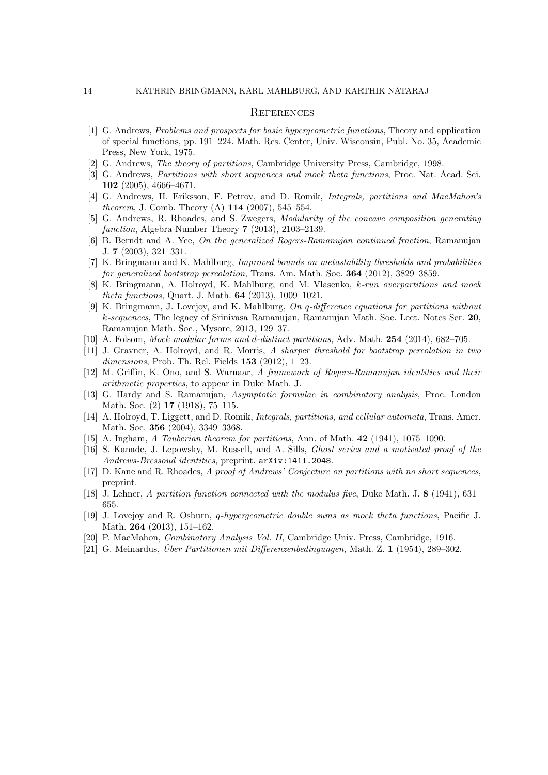#### **REFERENCES**

- [1] G. Andrews, *Problems and prospects for basic hypergeometric functions*, Theory and application of special functions, pp. 191–224. Math. Res. Center, Univ. Wisconsin, Publ. No. 35, Academic Press, New York, 1975.
- [2] G. Andrews, *The theory of partitions*, Cambridge University Press, Cambridge, 1998.
- [3] G. Andrews, *Partitions with short sequences and mock theta functions*, Proc. Nat. Acad. Sci. **102** (2005), 4666–4671.
- [4] G. Andrews, H. Eriksson, F. Petrov, and D. Romik, *Integrals, partitions and MacMahon's theorem*, J. Comb. Theory (A) **114** (2007), 545–554.
- [5] G. Andrews, R. Rhoades, and S. Zwegers, *Modularity of the concave composition generating function*, Algebra Number Theory **7** (2013), 2103–2139.
- [6] B. Berndt and A. Yee, *On the generalized Rogers-Ramanujan continued fraction*, Ramanujan J. **7** (2003), 321–331.
- [7] K. Bringmann and K. Mahlburg, *Improved bounds on metastability thresholds and probabilities for generalized bootstrap percolation*, Trans. Am. Math. Soc. **364** (2012), 3829–3859.
- [8] K. Bringmann, A. Holroyd, K. Mahlburg, and M. Vlasenko, *k-run overpartitions and mock theta functions*, Quart. J. Math. **64** (2013), 1009–1021.
- [9] K. Bringmann, J. Lovejoy, and K. Mahlburg, *On q-difference equations for partitions without k-sequences*, The legacy of Srinivasa Ramanujan, Ramanujan Math. Soc. Lect. Notes Ser. **20**, Ramanujan Math. Soc., Mysore, 2013, 129–37.
- [10] A. Folsom, *Mock modular forms and d-distinct partitions*, Adv. Math. **254** (2014), 682–705.
- [11] J. Gravner, A. Holroyd, and R. Morris, *A sharper threshold for bootstrap percolation in two dimensions*, Prob. Th. Rel. Fields **153** (2012), 1–23.
- [12] M. Griffin, K. Ono, and S. Warnaar, *A framework of Rogers-Ramanujan identities and their arithmetic properties*, to appear in Duke Math. J.
- [13] G. Hardy and S. Ramanujan, *Asymptotic formulae in combinatory analysis*, Proc. London Math. Soc. (2) **17** (1918), 75–115.
- [14] A. Holroyd, T. Liggett, and D. Romik, *Integrals, partitions, and cellular automata*, Trans. Amer. Math. Soc. **356** (2004), 3349–3368.
- [15] A. Ingham, *A Tauberian theorem for partitions*, Ann. of Math. **42** (1941), 1075–1090.
- [16] S. Kanade, J. Lepowsky, M. Russell, and A. Sills, *Ghost series and a motivated proof of the Andrews-Bressoud identities*, preprint. arXiv:1411.2048.
- [17] D. Kane and R. Rhoades, *A proof of Andrews' Conjecture on partitions with no short sequences*, preprint.
- [18] J. Lehner, *A partition function connected with the modulus five*, Duke Math. J. **8** (1941), 631– 655.
- [19] J. Lovejoy and R. Osburn, *q-hypergeometric double sums as mock theta functions*, Pacific J. Math. **264** (2013), 151–162.
- [20] P. MacMahon, *Combinatory Analysis Vol. II*, Cambridge Univ. Press, Cambridge, 1916.
- [21] G. Meinardus, *Über Partitionen mit Differenzenbedingungen*, Math. Z. 1 (1954), 289–302.